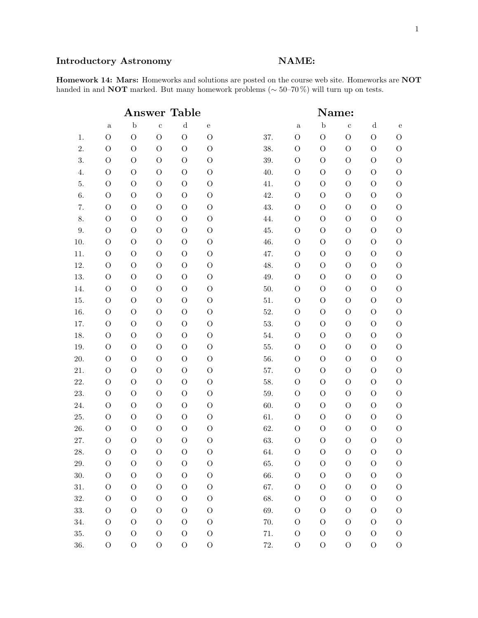## Introductory Astronomy NAME:

Homework 14: Mars: Homeworks and solutions are posted on the course web site. Homeworks are NOT handed in and NOT marked. But many homework problems ( $\sim$  50–70%) will turn up on tests.

|         | <b>Table</b><br>Answer |                |                |                |                                       |  | Name: |                |                |                |                |                |
|---------|------------------------|----------------|----------------|----------------|---------------------------------------|--|-------|----------------|----------------|----------------|----------------|----------------|
|         | $\mathbf{a}$           | $\mathbf b$    | $\mathbf c$    | ${\rm d}$      | $\mathbf{e}% _{t}\left( t_{1}\right)$ |  |       | $\rm{a}$       | $\mathbf b$    | $\mathbf c$    | $\mathbf d$    | ${\bf e}$      |
| 1.      | $\mathcal{O}$          | $\overline{O}$ | $\mathcal{O}$  | $\overline{O}$ | $\overline{O}$                        |  | 37.   | $\overline{O}$ | $\mathcal{O}$  | $\mathcal{O}$  | $\mathcal{O}$  | $\mathcal{O}$  |
| 2.      | $\mathcal{O}$          | $\overline{O}$ | $\mathcal{O}$  | $\overline{O}$ | $\mathcal{O}$                         |  | 38.   | $\Omega$       | $\mathcal{O}$  | $\mathcal{O}$  | $\overline{O}$ | $\mathcal{O}$  |
| 3.      | $\Omega$               | $\overline{O}$ | $\mathcal{O}$  | $\overline{O}$ | $\mathcal{O}$                         |  | 39.   | $\overline{O}$ | $\mathcal{O}$  | $\mathcal{O}$  | $\overline{O}$ | $\mathcal{O}$  |
| 4.      | $\mathcal{O}$          | $\overline{O}$ | $\mathcal{O}$  | $\overline{O}$ | $\mathcal{O}$                         |  | 40.   | $\mathcal{O}$  | $\mathcal{O}$  | $\mathcal{O}$  | $\mathcal{O}$  | $\mathcal{O}$  |
| 5.      | $\mathcal{O}$          | $\overline{O}$ | $\mathcal{O}$  | $\overline{O}$ | $\mathcal{O}$                         |  | 41.   | $\overline{O}$ | $\mathcal{O}$  | $\mathcal{O}$  | $\mathcal{O}$  | $\mathcal{O}$  |
| 6.      | $\mathcal{O}$          | $\overline{O}$ | $\mathcal{O}$  | $\overline{O}$ | $\rm{O}$                              |  | 42.   | $\overline{O}$ | $\mathcal{O}$  | $\mathcal{O}$  | $\overline{O}$ | $\mathcal{O}$  |
| 7.      | $\mathcal{O}$          | $\overline{O}$ | $\mathcal{O}$  | $\overline{O}$ | $\mathcal{O}$                         |  | 43.   | $\overline{O}$ | $\mathcal{O}$  | $\mathcal{O}$  | $\overline{O}$ | $\mathcal{O}$  |
| 8.      | $\mathcal{O}$          | $\mathcal{O}$  | $\mathcal{O}$  | $\mathcal{O}$  | $\mathcal{O}$                         |  | 44.   | $\overline{O}$ | $\mathcal{O}$  | $\mathcal{O}$  | $\mathcal{O}$  | $\overline{O}$ |
| $9. \,$ | $\overline{O}$         | $\mathcal{O}$  | $\mathcal{O}$  | $\overline{O}$ | $\Omega$                              |  | 45.   | $\mathcal{O}$  | $\mathcal{O}$  | $\mathcal{O}$  | $\mathcal{O}$  | $\mathcal{O}$  |
| 10.     | $\mathcal{O}$          | $\mathcal{O}$  | $\mathcal{O}$  | $\mathcal{O}$  | $\mathcal{O}$                         |  | 46.   | $\overline{O}$ | $\overline{O}$ | $\mathcal{O}$  | $\mathcal{O}$  | $\mathcal{O}$  |
| 11.     | $\mathcal{O}$          | $\mathcal{O}$  | $\mathcal{O}$  | $\overline{O}$ | $\Omega$                              |  | 47.   | $\overline{O}$ | $\mathcal{O}$  | $\mathcal{O}$  | $\overline{O}$ | $\mathcal{O}$  |
| 12.     | $\mathcal{O}$          | $\mathcal{O}$  | $\mathcal{O}$  | $\mathcal{O}$  | $\mathcal{O}$                         |  | 48.   | $\mathcal{O}$  | $\mathcal{O}$  | $\mathcal{O}$  | $\mathcal{O}$  | $\overline{O}$ |
| 13.     | $\mathcal{O}$          | $\mathcal{O}$  | $\mathcal{O}$  | $\overline{O}$ | $\Omega$                              |  | 49.   | $\mathcal{O}$  | $\mathcal{O}$  | $\mathcal{O}$  | $\mathcal{O}$  | $\mathcal{O}$  |
| 14.     | $\mathcal{O}$          | $\mathcal{O}$  | $\mathcal{O}$  | $\mathcal{O}$  | $\mathcal{O}$                         |  | 50.   | $\overline{O}$ | $\mathcal{O}$  | $\mathcal{O}$  | $\mathcal{O}$  | $\mathcal{O}$  |
| 15.     | $\Omega$               | $\mathcal{O}$  | $\mathcal{O}$  | $\overline{O}$ | $\Omega$                              |  | 51.   | $\overline{O}$ | $\mathcal{O}$  | $\mathcal{O}$  | $\overline{O}$ | $\mathcal{O}$  |
| 16.     | $\mathcal{O}$          | $\mathcal{O}$  | $\mathcal{O}$  | $\mathcal{O}$  | $\mathcal{O}$                         |  | 52.   | $\mathcal{O}$  | $\mathcal{O}$  | $\mathcal{O}$  | $\mathcal{O}$  | $\mathcal{O}$  |
| 17.     | $\mathcal{O}$          | $\mathcal{O}$  | $\mathcal{O}$  | $\mathcal{O}$  | $\Omega$                              |  | 53.   | $\mathcal{O}$  | $\mathcal{O}$  | $\mathcal{O}$  | $\overline{O}$ | $\mathcal{O}$  |
| 18.     | $\mathcal{O}$          | $\mathcal{O}$  | $\mathcal{O}$  | $\mathcal{O}$  | $\mathcal{O}$                         |  | 54.   | $\mathcal{O}$  | $\overline{O}$ | $\mathcal{O}$  | $\overline{O}$ | $\mathcal{O}$  |
| 19.     | $\Omega$               | $\mathcal{O}$  | $\mathcal{O}$  | $\overline{O}$ | $\rm{O}$                              |  | 55.   | $\overline{O}$ | $\mathcal{O}$  | $\mathcal{O}$  | $\overline{O}$ | $\mathcal{O}$  |
| 20.     | $\mathcal{O}$          | $\mathcal{O}$  | $\mathcal{O}$  | $\mathcal{O}$  | $\mathcal{O}$                         |  | 56.   | $\mathcal{O}$  | $\mathcal{O}$  | $\mathcal{O}$  | $\mathcal{O}$  | $\mathcal{O}$  |
| 21.     | $\mathcal{O}$          | $\mathcal{O}$  | $\mathcal{O}$  | $\mathcal{O}$  | $\Omega$                              |  | 57.   | $\mathcal{O}$  | $\mathcal{O}$  | $\mathcal{O}$  | $\overline{O}$ | $\mathcal{O}$  |
| 22.     | $\mathcal{O}$          | $\mathcal{O}$  | $\mathcal{O}$  | $\mathcal{O}$  | $\Omega$                              |  | 58.   | $\mathcal{O}$  | $\mathcal{O}$  | $\mathcal{O}$  | $\overline{O}$ | $\overline{O}$ |
| 23.     | $\Omega$               | $\overline{O}$ | $\mathcal{O}$  | $\mathcal{O}$  | $\mathcal{O}$                         |  | 59.   | $\mathcal{O}$  | $\mathcal{O}$  | $\mathcal{O}$  | $\overline{O}$ | $\mathcal{O}$  |
| 24.     | $\mathcal{O}$          | $\mathcal{O}$  | $\mathcal{O}$  | $\mathcal{O}$  | $\mathcal{O}$                         |  | 60.   | $\overline{O}$ | $\mathcal{O}$  | $\mathcal{O}$  | $\mathcal{O}$  | $\overline{O}$ |
| 25.     | $\mathcal{O}$          | $\mathcal{O}$  | $\mathcal{O}$  | $\mathcal{O}$  | $\Omega$                              |  | 61.   | $\mathcal{O}$  | $\mathcal{O}$  | $\mathcal{O}$  | $\overline{O}$ | $\mathcal{O}$  |
| 26.     | $\mathcal{O}$          | $\mathcal{O}$  | $\mathcal{O}$  | $\mathcal{O}$  | $\mathcal{O}$                         |  | 62.   | $\overline{O}$ | $\mathcal{O}$  | $\mathcal{O}$  | $\overline{O}$ | $\mathcal{O}$  |
| 27.     | $\mathcal{O}$          | $\overline{O}$ | $\mathcal{O}$  | $\overline{O}$ | $\mathcal{O}$                         |  | 63.   | $\mathcal{O}$  | $\mathcal{O}$  | $\mathcal{O}$  | $\overline{O}$ | $\mathcal{O}$  |
| 28.     | $\overline{O}$         | $\overline{O}$ | $\mathcal{O}$  | $\overline{O}$ | $\overline{O}$                        |  | 64.   | $\overline{O}$ | $\overline{O}$ | $\overline{O}$ | $\mathcal{O}$  | $\mathcal{O}$  |
| 29.     | $\mathcal{O}$          | $\mathcal{O}$  | $\overline{O}$ | $\overline{O}$ | $\mathcal{O}$                         |  | 65.   | $\mathcal{O}$  | $\mathcal{O}$  | $\mathcal{O}$  | $\mathcal{O}$  | $\overline{O}$ |
| 30.     | $\mathcal{O}$          | $\mathcal{O}$  | $\mathcal{O}$  | $\mathcal{O}$  | $\mathcal{O}$                         |  | 66.   | $\overline{O}$ | $\overline{O}$ | $\mathcal{O}$  | $\mathcal{O}$  | $\mathcal{O}$  |
| 31.     | $\mathcal{O}$          | $\mathcal{O}$  | $\mathcal{O}$  | $\mathcal{O}$  | $\mathcal{O}$                         |  | 67.   | $\mathcal{O}$  | $\overline{O}$ | $\mathcal{O}$  | $\mathcal{O}$  | $\mathcal{O}$  |
| 32.     | $\mathcal{O}$          | $\mathcal{O}$  | $\mathcal{O}$  | $\mathcal{O}$  | $\mathcal{O}$                         |  | 68.   | $\mathcal{O}$  | $\overline{O}$ | $\mathcal{O}$  | $\mathcal{O}$  | $\mathcal{O}$  |
| 33.     | $\mathcal{O}$          | $\mathcal{O}$  | $\mathcal{O}$  | $\mathcal{O}$  | $\mathcal{O}$                         |  | 69.   | $\overline{O}$ | $\overline{O}$ | $\mathcal{O}$  | $\mathcal{O}$  | $\mathcal{O}$  |
| 34.     | $\mathcal{O}$          | $\mathcal{O}$  | $\mathcal{O}$  | $\mathcal{O}$  | $\mathcal{O}$                         |  | 70.   | $\mathcal{O}$  | $\overline{O}$ | $\mathcal{O}$  | $\mathcal{O}$  | $\overline{O}$ |
| 35.     | $\mathcal{O}$          | $\mathcal{O}$  | $\mathcal{O}$  | $\mathcal{O}$  | $\mathcal{O}$                         |  | 71.   | $\mathcal{O}$  | $\overline{O}$ | $\mathcal{O}$  | $\mathcal{O}$  | $\mathcal{O}$  |
| 36.     | $\mathcal{O}$          | $\mathcal{O}$  | $\mathcal{O}$  | $\mathcal{O}$  | $\mathcal O$                          |  | 72.   | $\mathcal{O}$  | $\mathcal{O}$  | $\mathcal O$   | $\mathcal O$   | $\mathcal{O}$  |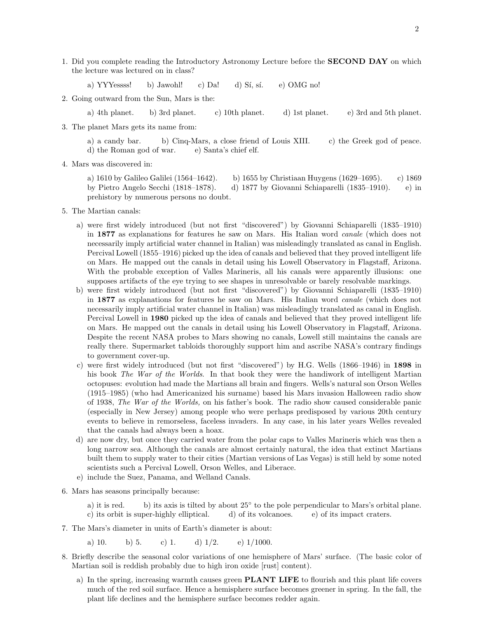1. Did you complete reading the Introductory Astronomy Lecture before the **SECOND DAY** on which the lecture was lectured on in class?

a) YYYessss! b) Jawohl! c) Da! d) Sí, sí. e) OMG no!

2. Going outward from the Sun, Mars is the:

a) 4th planet. b) 3rd planet. c) 10th planet. d) 1st planet. e) 3rd and 5th planet.

3. The planet Mars gets its name from:

a) a candy bar. b) Cinq-Mars, a close friend of Louis XIII. c) the Greek god of peace. d) the Roman god of war. e) Santa's chief elf.

4. Mars was discovered in:

a) 1610 by Galileo Galilei (1564–1642). b) 1655 by Christiaan Huygens (1629–1695). c) 1869 by Pietro Angelo Secchi (1818–1878). d) 1877 by Giovanni Schiaparelli (1835–1910). e) in prehistory by numerous persons no doubt.

- 5. The Martian canals:
	- a) were first widely introduced (but not first "discovered") by Giovanni Schiaparelli (1835–1910) in 1877 as explanations for features he saw on Mars. His Italian word canale (which does not necessarily imply artificial water channel in Italian) was misleadingly translated as canal in English. Percival Lowell (1855–1916) picked up the idea of canals and believed that they proved intelligent life on Mars. He mapped out the canals in detail using his Lowell Observatory in Flagstaff, Arizona. With the probable exception of Valles Marineris, all his canals were apparently illusions: one supposes artifacts of the eye trying to see shapes in unresolvable or barely resolvable markings.
	- b) were first widely introduced (but not first "discovered") by Giovanni Schiaparelli (1835–1910) in 1877 as explanations for features he saw on Mars. His Italian word canale (which does not necessarily imply artificial water channel in Italian) was misleadingly translated as canal in English. Percival Lowell in 1980 picked up the idea of canals and believed that they proved intelligent life on Mars. He mapped out the canals in detail using his Lowell Observatory in Flagstaff, Arizona. Despite the recent NASA probes to Mars showing no canals, Lowell still maintains the canals are really there. Supermarket tabloids thoroughly support him and ascribe NASA's contrary findings to government cover-up.
	- c) were first widely introduced (but not first "discovered") by H.G. Wells (1866–1946) in 1898 in his book The War of the Worlds. In that book they were the handiwork of intelligent Martian octopuses: evolution had made the Martians all brain and fingers. Wells's natural son Orson Welles (1915–1985) (who had Americanized his surname) based his Mars invasion Halloween radio show of 1938, The War of the Worlds, on his father's book. The radio show caused considerable panic (especially in New Jersey) among people who were perhaps predisposed by various 20th century events to believe in remorseless, faceless invaders. In any case, in his later years Welles revealed that the canals had always been a hoax.
	- d) are now dry, but once they carried water from the polar caps to Valles Marineris which was then a long narrow sea. Although the canals are almost certainly natural, the idea that extinct Martians built them to supply water to their cities (Martian versions of Las Vegas) is still held by some noted scientists such a Percival Lowell, Orson Welles, and Liberace.
	- e) include the Suez, Panama, and Welland Canals.
- 6. Mars has seasons principally because:

a) it is red. b) its axis is tilted by about  $25°$  to the pole perpendicular to Mars's orbital plane. c) its orbit is super-highly elliptical. d) of its volcanoes. e) of its impact craters.

- 7. The Mars's diameter in units of Earth's diameter is about:
	- a) 10. b) 5. c) 1. d)  $1/2$ . e)  $1/1000$ .
- 8. Briefly describe the seasonal color variations of one hemisphere of Mars' surface. (The basic color of Martian soil is reddish probably due to high iron oxide [rust] content).
	- a) In the spring, increasing warmth causes green PLANT LIFE to flourish and this plant life covers much of the red soil surface. Hence a hemisphere surface becomes greener in spring. In the fall, the plant life declines and the hemisphere surface becomes redder again.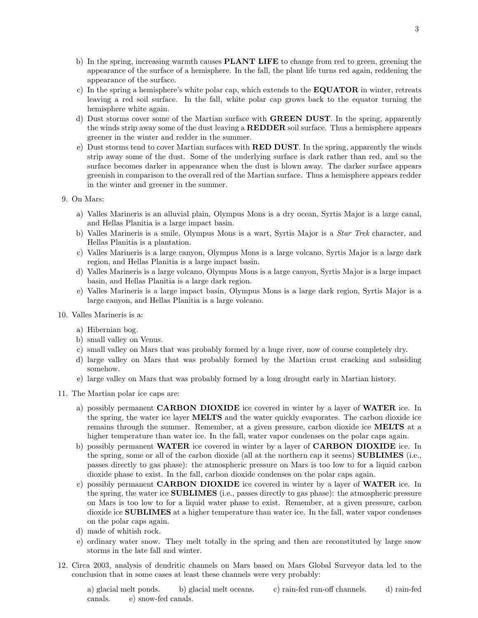- b) In the spring, increasing warmth causes **PLANT LIFE** to change from red to green, greening the appearance of the surface of a hemisphere. In the fall, the plant life turns red again, reddening the appearance of the surface.
- c) In the spring a hemisphere's white polar cap, which extends to the EQUATOR in winter, retreats leaving a red soil surface. In the fall, white polar cap grows back to the equator turning the hemisphere white again.
- d) Dust storms cover some of the Martian surface with GREEN DUST. In the spring, apparently the winds strip away some of the dust leaving a **REDDER** soil surface. Thus a hemisphere appears greener in the winter and redder in the summer.
- e) Dust storms tend to cover Martian surfaces with RED DUST. In the spring, apparently the winds strip away some of the dust. Some of the underlying surface is dark rather than red, and so the surface becomes darker in appearance when the dust is blown away. The darker surface appears greenish in comparison to the overall red of the Martian surface. Thus a hemisphere appears redder in the winter and greener in the summer.
- 9. On Mars:
	- a) Valles Marineris is an alluvial plain, Olympus Mons is a dry ocean, Syrtis Major is a large canal, and Hellas Planitia is a large impact basin.
	- b) Valles Marineris is a smile, Olympus Mons is a wart, Syrtis Major is a Star Trek character, and Hellas Planitia is a plantation.
	- c) Valles Marineris is a large canyon, Olympus Mons is a large volcano, Syrtis Major is a large dark region, and Hellas Planitia is a large impact basin.
	- d) Valles Marineris is a large volcano, Olympus Mons is a large canyon, Syrtis Major is a large impact basin, and Hellas Planitia is a large dark region.
	- e) Valles Marineris is a large impact basin, Olympus Mons is a large dark region, Syrtis Major is a large canyon, and Hellas Planitia is a large volcano.
- 10. Valles Marineris is a:
	- a) Hibernian bog.
	- b) small valley on Venus.
	- c) small valley on Mars that was probably formed by a huge river, now of course completely dry.
	- d) large valley on Mars that was probably formed by the Martian crust cracking and subsiding somehow.
	- e) large valley on Mars that was probably formed by a long drought early in Martian history.
- 11. The Martian polar ice caps are:
	- a) possibly permanent CARBON DIOXIDE ice covered in winter by a layer of WATER ice. In the spring, the water ice layer **MELTS** and the water quickly evaporates. The carbon dioxide ice remains through the summer. Remember, at a given pressure, carbon dioxide ice MELTS at a higher temperature than water ice. In the fall, water vapor condenses on the polar caps again.
	- b) possibly permanent WATER ice covered in winter by a layer of CARBON DIOXIDE ice. In the spring, some or all of the carbon dioxide (all at the northern cap it seems) SUBLIMES (i.e., passes directly to gas phase): the atmospheric pressure on Mars is too low to for a liquid carbon dioxide phase to exist. In the fall, carbon dioxide condenses on the polar caps again.
	- c) possibly permanent CARBON DIOXIDE ice covered in winter by a layer of WATER ice. In the spring, the water ice SUBLIMES (i.e., passes directly to gas phase): the atmospheric pressure on Mars is too low to for a liquid water phase to exist. Remember, at a given pressure, carbon dioxide ice **SUBLIMES** at a higher temperature than water ice. In the fall, water vapor condenses on the polar caps again.
	- d) made of whitish rock.
	- e) ordinary water snow. They melt totally in the spring and then are reconstituted by large snow storms in the late fall and winter.
- 12. Circa 2003, analysis of dendritic channels on Mars based on Mars Global Surveyor data led to the conclusion that in some cases at least these channels were very probably:

a) glacial melt ponds. b) glacial melt oceans. c) rain-fed run-off channels. d) rain-fed canals. e) snow-fed canals.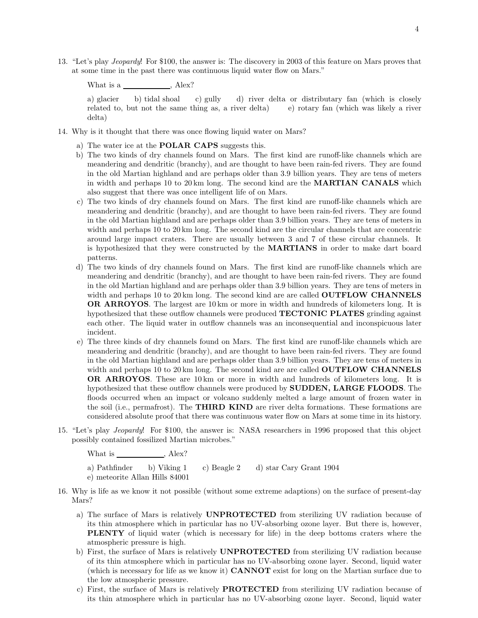13. "Let's play Jeopardy! For \$100, the answer is: The discovery in 2003 of this feature on Mars proves that at some time in the past there was continuous liquid water flow on Mars."

What is a , Alex?

a) glacier b) tidal shoal c) gully d) river delta or distributary fan (which is closely related to, but not the same thing as, a river delta) e) rotary fan (which was likely a river delta)

- 14. Why is it thought that there was once flowing liquid water on Mars?
	- a) The water ice at the POLAR CAPS suggests this.
	- b) The two kinds of dry channels found on Mars. The first kind are runoff-like channels which are meandering and dendritic (branchy), and are thought to have been rain-fed rivers. They are found in the old Martian highland and are perhaps older than 3.9 billion years. They are tens of meters in width and perhaps 10 to 20 km long. The second kind are the **MARTIAN CANALS** which also suggest that there was once intelligent life of on Mars.
	- c) The two kinds of dry channels found on Mars. The first kind are runoff-like channels which are meandering and dendritic (branchy), and are thought to have been rain-fed rivers. They are found in the old Martian highland and are perhaps older than 3.9 billion years. They are tens of meters in width and perhaps 10 to 20 km long. The second kind are the circular channels that are concentric around large impact craters. There are usually between 3 and 7 of these circular channels. It is hypothesized that they were constructed by the MARTIANS in order to make dart board patterns.
	- d) The two kinds of dry channels found on Mars. The first kind are runoff-like channels which are meandering and dendritic (branchy), and are thought to have been rain-fed rivers. They are found in the old Martian highland and are perhaps older than 3.9 billion years. They are tens of meters in width and perhaps 10 to 20 km long. The second kind are are called **OUTFLOW CHANNELS** OR ARROYOS. The largest are 10 km or more in width and hundreds of kilometers long. It is hypothesized that these outflow channels were produced **TECTONIC PLATES** grinding against each other. The liquid water in outflow channels was an inconsequential and inconspicuous later incident.
	- e) The three kinds of dry channels found on Mars. The first kind are runoff-like channels which are meandering and dendritic (branchy), and are thought to have been rain-fed rivers. They are found in the old Martian highland and are perhaps older than 3.9 billion years. They are tens of meters in width and perhaps 10 to 20 km long. The second kind are are called **OUTFLOW CHANNELS** OR ARROYOS. These are 10 km or more in width and hundreds of kilometers long. It is hypothesized that these outflow channels were produced by **SUDDEN, LARGE FLOODS**. The floods occurred when an impact or volcano suddenly melted a large amount of frozen water in the soil (i.e., permafrost). The **THIRD KIND** are river delta formations. These formations are considered absolute proof that there was continuous water flow on Mars at some time in its history.
- 15. "Let's play Jeopardy! For \$100, the answer is: NASA researchers in 1996 proposed that this object possibly contained fossilized Martian microbes."

What is  $\_\_\_\_\_\_\_\_\$  Alex?

a) Pathfinder b) Viking 1 c) Beagle 2 d) star Cary Grant 1904 e) meteorite Allan Hills 84001

- 16. Why is life as we know it not possible (without some extreme adaptions) on the surface of present-day Mars?
	- a) The surface of Mars is relatively UNPROTECTED from sterilizing UV radiation because of its thin atmosphere which in particular has no UV-absorbing ozone layer. But there is, however, PLENTY of liquid water (which is necessary for life) in the deep bottoms craters where the atmospheric pressure is high.
	- b) First, the surface of Mars is relatively **UNPROTECTED** from sterilizing UV radiation because of its thin atmosphere which in particular has no UV-absorbing ozone layer. Second, liquid water (which is necessary for life as we know it) CANNOT exist for long on the Martian surface due to the low atmospheric pressure.
	- c) First, the surface of Mars is relatively PROTECTED from sterilizing UV radiation because of its thin atmosphere which in particular has no UV-absorbing ozone layer. Second, liquid water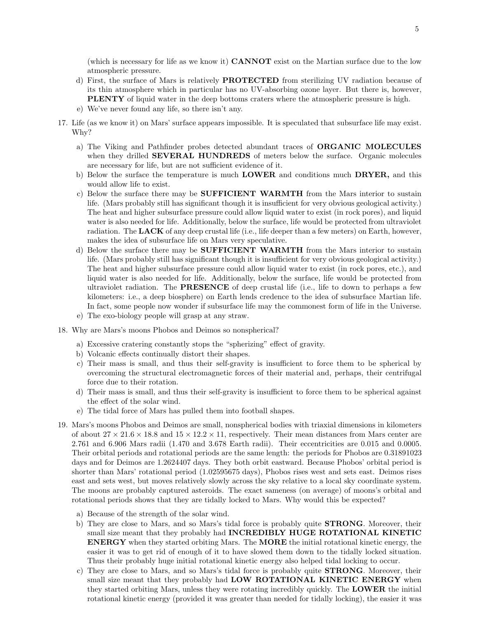(which is necessary for life as we know it) CANNOT exist on the Martian surface due to the low atmospheric pressure.

- d) First, the surface of Mars is relatively **PROTECTED** from sterilizing UV radiation because of its thin atmosphere which in particular has no UV-absorbing ozone layer. But there is, however, PLENTY of liquid water in the deep bottoms craters where the atmospheric pressure is high.
- e) We've never found any life, so there isn't any.
- 17. Life (as we know it) on Mars' surface appears impossible. It is speculated that subsurface life may exist. Why?
	- a) The Viking and Pathfinder probes detected abundant traces of ORGANIC MOLECULES when they drilled **SEVERAL HUNDREDS** of meters below the surface. Organic molecules are necessary for life, but are not sufficient evidence of it.
	- b) Below the surface the temperature is much  $\mathbf{LOWER}$  and conditions much  $\mathbf{DRYER}$ , and this would allow life to exist.
	- c) Below the surface there may be SUFFICIENT WARMTH from the Mars interior to sustain life. (Mars probably still has significant though it is insufficient for very obvious geological activity.) The heat and higher subsurface pressure could allow liquid water to exist (in rock pores), and liquid water is also needed for life. Additionally, below the surface, life would be protected from ultraviolet radiation. The LACK of any deep crustal life (i.e., life deeper than a few meters) on Earth, however, makes the idea of subsurface life on Mars very speculative.
	- d) Below the surface there may be SUFFICIENT WARMTH from the Mars interior to sustain life. (Mars probably still has significant though it is insufficient for very obvious geological activity.) The heat and higher subsurface pressure could allow liquid water to exist (in rock pores, etc.), and liquid water is also needed for life. Additionally, below the surface, life would be protected from ultraviolet radiation. The **PRESENCE** of deep crustal life (i.e., life to down to perhaps a few kilometers: i.e., a deep biosphere) on Earth lends credence to the idea of subsurface Martian life. In fact, some people now wonder if subsurface life may the commonest form of life in the Universe.
	- e) The exo-biology people will grasp at any straw.
- 18. Why are Mars's moons Phobos and Deimos so nonspherical?
	- a) Excessive cratering constantly stops the "spherizing" effect of gravity.
	- b) Volcanic effects continually distort their shapes.
	- c) Their mass is small, and thus their self-gravity is insufficient to force them to be spherical by overcoming the structural electromagnetic forces of their material and, perhaps, their centrifugal force due to their rotation.
	- d) Their mass is small, and thus their self-gravity is insufficient to force them to be spherical against the effect of the solar wind.
	- e) The tidal force of Mars has pulled them into football shapes.
- 19. Mars's moons Phobos and Deimos are small, nonspherical bodies with triaxial dimensions in kilometers of about  $27 \times 21.6 \times 18.8$  and  $15 \times 12.2 \times 11$ , respectively. Their mean distances from Mars center are 2.761 and 6.906 Mars radii (1.470 and 3.678 Earth radii). Their eccentricities are 0.015 and 0.0005. Their orbital periods and rotational periods are the same length: the periods for Phobos are 0.31891023 days and for Deimos are 1.2624407 days. They both orbit eastward. Because Phobos' orbital period is shorter than Mars' rotational period (1.02595675 days), Phobos rises west and sets east. Deimos rises east and sets west, but moves relatively slowly across the sky relative to a local sky coordinate system. The moons are probably captured asteroids. The exact sameness (on average) of moons's orbital and rotational periods shows that they are tidally locked to Mars. Why would this be expected?
	- a) Because of the strength of the solar wind.
	- b) They are close to Mars, and so Mars's tidal force is probably quite STRONG. Moreover, their small size meant that they probably had INCREDIBLY HUGE ROTATIONAL KINETIC ENERGY when they started orbiting Mars. The MORE the initial rotational kinetic energy, the easier it was to get rid of enough of it to have slowed them down to the tidally locked situation. Thus their probably huge initial rotational kinetic energy also helped tidal locking to occur.
	- c) They are close to Mars, and so Mars's tidal force is probably quite STRONG. Moreover, their small size meant that they probably had LOW ROTATIONAL KINETIC ENERGY when they started orbiting Mars, unless they were rotating incredibly quickly. The **LOWER** the initial rotational kinetic energy (provided it was greater than needed for tidally locking), the easier it was